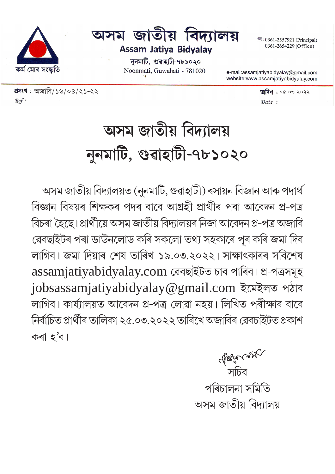<sup>3</sup>: 0361-2557921 (Principal) 0361-2654229 (Office)



ননমাটি, গুৱাহাটী-৭৮১০২০ Noonmati, Guwahati - 781020

e-mail:assamjatiyabidyalay@gmail.com website:www.assamjatiyabidyalay.com

প্ৰসংগ : অজাবি/১৬/০৪/২১-২২  $\blacksquare$  $Ref:$ 

কৰ্ম মোৰ সংস্কৃতি

Date:

# অসম জাতীয় বিদ্যালয় নুনমাটি, গুৱাহাটী-৭৮১০২০

অসম জাতীয় বিদ্যালয়ত (নুনমাটি, গুৱাহাটী) ৰসায়ন বিজ্ঞান আৰু পদাৰ্থ বিজ্ঞান বিষয়ৰ শিক্ষকৰ পদৰ বাবে আগ্ৰহী প্ৰাৰ্থীৰ পৰা আবেদন প্ৰ-পত্ৰ বিচৰা হৈছে।প্ৰাৰ্থীয়ে অসম জাতীয় বিদ্যালয়ৰ নিজা আবেদন প্ৰ-পত্ৰ অজাবি ৱেবছাইটৰ পৰা ডাউনলোড কৰি সকলো তথ্য সহকাৰে পূৰ কৰি জমা দিব লাগিব। জমা দিয়াৰ শেষ তাৰিখ ১৯.০৩.২০২২। সাক্ষাৎকাৰৰ সবিশেষ assamjatiyabidyalay.com ৱেবছাইটত চাব পাৰিব। প্ৰ-পত্ৰসমূহ jobsassamjatiyabidyalay@gmail.com ইমেইলত পঠাব লাগিব। কাৰ্য্যালয়ত আবেদন প্ৰ-পত্ৰ লোৱা নহয়। লিখিত পৰীক্ষাৰ বাবে নিৰ্বাচিত প্ৰাৰ্থীৰ তালিকা ২৫.০৩.২০২২ তাৰিখে অজাবিৰ ৱেবচাইটত প্ৰকাশ কৰা হ'ব।

> √*⁄ারিংত* সাম<sup>√</sup><br>সচিব পৰিচালনা সমিতি অসম জাতীয় বিদ্যালয়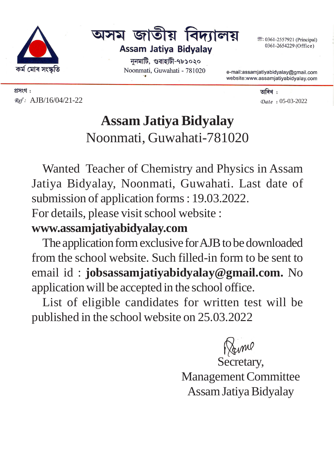



ননমাটি, গুৱাহাটী-৭৮১০২০ Noonmati, Guwahati - 781020 <sup>3</sup>: 0361-2557921 (Principal) 0361-2654229 (Office)

e-mail:assamjatiyabidyalay@gmail.com website:www.assamjatiyabidyalay.com

প্ৰসংগ:  $Ref: AJB/16/04/21-22$   $Date: 05-03-2022$ 

তাৰিখ :

# **Assam Jatiya Bidyalay** Noonmati, Guwahati-781020

Wanted Teacher of Chemistry and Physics in Assam Jatiya Bidyalay, Noonmati, Guwahati. Last date of submission of application forms : 19.03.2022.

For details, please visit school website :

## **www.assamjatiyabidyalay.com**

The application form exclusive for AJB to be downloaded from the school website. Such filled-in form to be sent to email id : **jobsassamjatiyabidyalay@gmail.com.** No application will be accepted in the school office.

List of eligible candidates for written test will be published in the school website on 25.03.2022

Same

Secretary, Management Committee Assam Jatiya Bidyalay